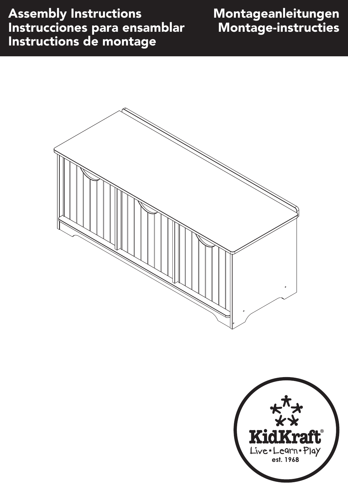### Assembly Instructions Instrucciones para ensamblar Instructions de montage

### Montageanleitungen Montage-instructies



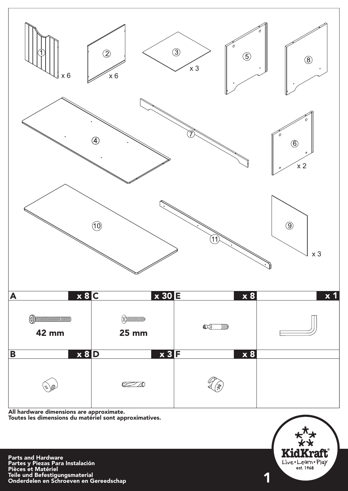

All hardware dimensions are approximate. Toutes les dimensions du matériel sont approximatives.

Parts and Hardware Partes y Piezas Para Instalación Pièces et Matériel Teile und Befestigungsmaterial Onderdelen en Schroeven en Gereedschap

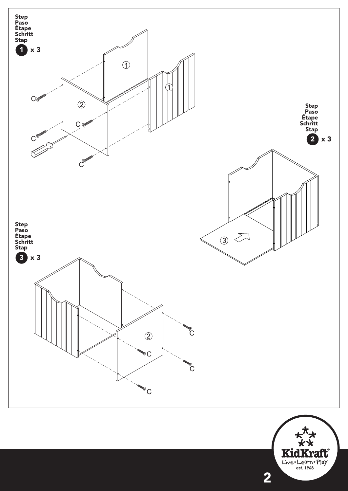

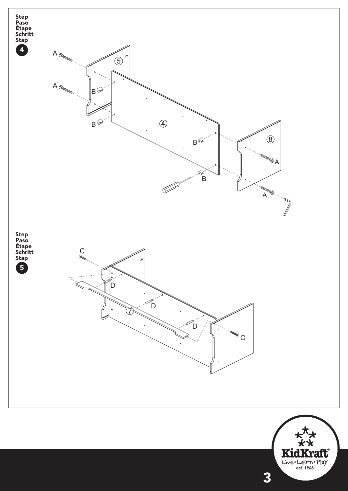

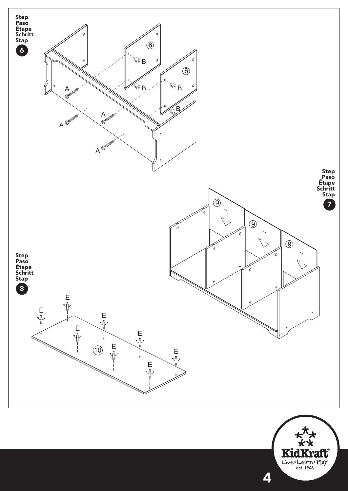

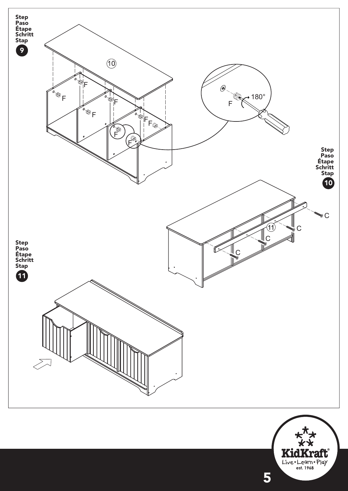

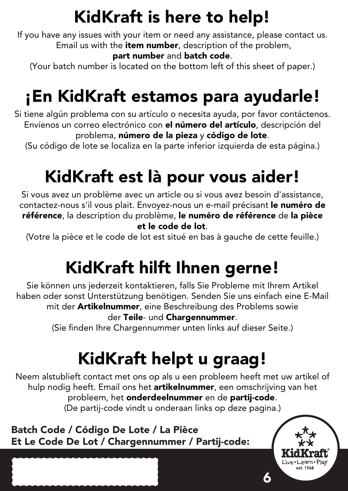### KidKraft is here to help!

If you have any issues with your item or need any assistance, please contact us. Email us with the **item number**, description of the problem,

#### part number and batch code.

(Your batch number is located on the bottom left of this sheet of paper.)

## ¡En KidKraft estamos para ayudarle!

Si tiene algún problema con su artículo o necesita ayuda, por favor contáctenos. Envíenos un correo electrónico con el número del artículo, descripción del problema, número de la pieza y código de lote.

(Su código de lote se localiza en la parte inferior izquierda de esta página.)

## KidKraft est là pour vous aider!

Si vous avez un problème avec un article ou si vous avez besoin d'assistance, contactez-nous s'il vous plait. Envoyez-nous un e-mail précisant le numéro de référence, la description du problème, le numéro de référence de la pièce et le code de lot.

(Votre la pièce et le code de lot est situé en bas à gauche de cette feuille.)

# KidKraft hilft Ihnen gerne!

Sie können uns jederzeit kontaktieren, falls Sie Probleme mit Ihrem Artikel haben oder sonst Unterstützung benötigen. Senden Sie uns einfach eine E-Mail mit der Artikelnummer, eine Beschreibung des Problems sowie der Teile- und Chargennummer.

(Sie finden Ihre Chargennummer unten links auf dieser Seite.)

# KidKraft helpt u graag!

Neem alstublieft contact met ons op als u een probleem heeft met uw artikel of hulp nodig heeft. Email ons het artikelnummer, een omschrijving van het probleem, het onderdeelnummer en de partij-code. (De partij-code vindt u onderaan links op deze pagina.)

6

Batch Code / Código De Lote / La Pièce Et Le Code De Lot / Chargennummer / Partij-code: